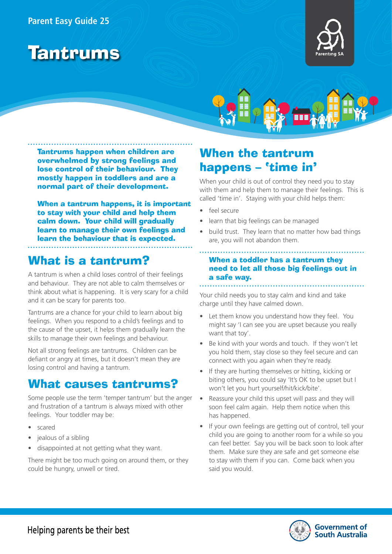### **Parent Easy Guide 25**







Tantrums happen when children are overwhelmed by strong feelings and lose control of their behaviour. They mostly happen in toddlers and are a normal part of their development.

When a tantrum happens, it is important to stay with your child and help them calm down. Your child will gradually learn to manage their own feelings and learn the behaviour that is expected.

## What is a tantrum?

A tantrum is when a child loses control of their feelings and behaviour. They are not able to calm themselves or think about what is happening. It is very scary for a child and it can be scary for parents too.

Tantrums are a chance for your child to learn about big feelings. When you respond to a child's feelings and to the cause of the upset, it helps them gradually learn the skills to manage their own feelings and behaviour.

Not all strong feelings are tantrums. Children can be defiant or angry at times, but it doesn't mean they are losing control and having a tantrum.

## What causes tantrums?

Some people use the term 'temper tantrum' but the anger and frustration of a tantrum is always mixed with other feelings. Your toddler may be:

- scared
- jealous of a sibling
- disappointed at not getting what they want.

There might be too much going on around them, or they could be hungry, unwell or tired.

# When the tantrum happens – 'time in'

When your child is out of control they need you to stay with them and help them to manage their feelings. This is called 'time in'. Staying with your child helps them:

- feel secure
- learn that big feelings can be managed
- build trust. They learn that no matter how bad things are, you will not abandon them.

### When a toddler has a tantrum they need to let all those big feelings out in a safe way.

Your child needs you to stay calm and kind and take charge until they have calmed down.

- Let them know you understand how they feel. You might say 'I can see you are upset because you really want that toy'.
- Be kind with your words and touch. If they won't let you hold them, stay close so they feel secure and can connect with you again when they're ready.
- If they are hurting themselves or hitting, kicking or biting others, you could say 'It's OK to be upset but I won't let you hurt yourself/hit/kick/bite'.
- Reassure your child this upset will pass and they will soon feel calm again. Help them notice when this has happened.
- If your own feelings are getting out of control, tell your child you are going to another room for a while so you can feel better. Say you will be back soon to look after them. Make sure they are safe and get someone else to stay with them if you can. Come back when you said you would.

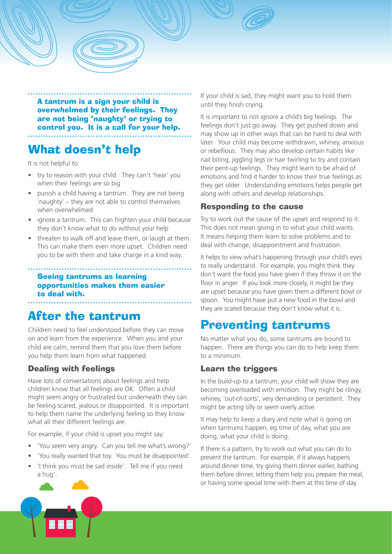

# What doesn't help

It is not helpful to:

- try to reason with your child. They can't 'hear' you when their feelings are so big
- punish a child having a tantrum. They are not being 'naughty' – they are not able to control themselves when overwhelmed
- ignore a tantrum. This can frighten your child because they don't know what to do without your help
- threaten to walk off and leave them, or laugh at them. This can make them even more upset. Children need you to be with them and take charge in a kind way.

### Seeing tantrums as learning opportunities makes them easier to deal with.

# After the tantrum

Children need to feel understood before they can move on and learn from the experience. When you and your child are calm, remind them that you love them before you help them learn from what happened.

### Dealing with feelings

Have lots of conversations about feelings and help children know that all feelings are OK. Often a child might seem angry or frustrated but underneath they can be feeling scared, jealous or disappointed. It is important to help them name the underlying feeling so they know what all their different feelings are.

For example, if your child is upset you might say:

- 'You seem very angry. Can you tell me what's wrong?'
- 'You really wanted that toy. You must be disappointed'.
- 'I think you must be sad inside'. Tell me if you need a hug'.

If your child is sad, they might want you to hold them until they finish crying.

It is important to not ignore a child's big feelings. The feelings don't just go away. They get pushed down and may show up in other ways that can be hard to deal with later. Your child may become withdrawn, whiney, anxious or rebellious. They may also develop certain habits like nail biting, jiggling legs or hair twirling to try and contain their pent-up feelings. They might learn to be afraid of emotions and find it harder to know their true feelings as they get older. Understanding emotions helps people get along with others and develop relationships.

### Responding to the cause

Try to work out the cause of the upset and respond to it. This does not mean giving in to what your child wants. It means helping them learn to solve problems and to deal with change, disappointment and frustration.

It helps to view what's happening through your child's eyes to really understand. For example, you might think they don't want the food you have given if they throw it on the floor in anger. If you look more closely, it might be they are upset because you have given them a different bowl or spoon. You might have put a new food in the bowl and they are scared because they don't know what it is.

# Preventing tantrums

No matter what you do, some tantrums are bound to happen. There are things you can do to help keep them to a minimum.

#### Learn the triggers

In the build-up to a tantrum, your child will show they are becoming overloaded with emotion. They might be clingy, whiney, 'out-of-sorts', very demanding or persistent. They might be acting silly or seem overly active.

It may help to keep a diary and note what is going on when tantrums happen, eg time of day, what you are doing, what your child is doing.

If there is a pattern, try to work out what you can do to prevent the tantrum. For example, if it always happens around dinner time, try giving them dinner earlier, bathing them before dinner, letting them help you prepare the meal, or having some special time with them at this time of day.

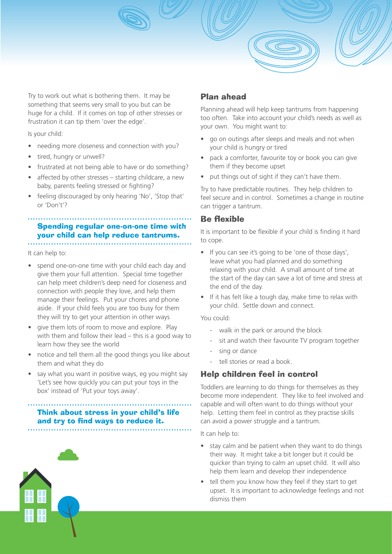

Is your child:

- needing more closeness and connection with you?
- tired, hungry or unwell?
- frustrated at not being able to have or do something?
- affected by other stresses starting childcare, a new baby, parents feeling stressed or fighting?
- feeling discouraged by only hearing 'No', 'Stop that' or 'Don't'?

#### Spending regular one-on-one time with your child can help reduce tantrums.

It can help to:

- spend one-on-one time with your child each day and give them your full attention. Special time together can help meet children's deep need for closeness and connection with people they love, and help them manage their feelings. Put your chores and phone aside. If your child feels you are too busy for them they will try to get your attention in other ways
- give them lots of room to move and explore. Play with them and follow their lead – this is a good way to learn how they see the world
- notice and tell them all the good things you like about them and what they do
- say what you want in positive ways, eg you might say 'Let's see how quickly you can put your toys in the box' instead of 'Put your toys away'.

## Think about stress in your child's life and try to find ways to reduce it.

### Plan ahead

Planning ahead will help keep tantrums from happening too often. Take into account your child's needs as well as your own. You might want to:

- go on outings after sleeps and meals and not when your child is hungry or tired
- pack a comforter, favourite toy or book you can give them if they become upset
- put things out of sight if they can't have them.

Try to have predictable routines. They help children to feel secure and in control. Sometimes a change in routine can trigger a tantrum.

#### Be flexible

It is important to be flexible if your child is finding it hard to cope.

- If you can see it's going to be 'one of those days', leave what you had planned and do something relaxing with your child. A small amount of time at the start of the day can save a lot of time and stress at the end of the day.
- If it has felt like a tough day, make time to relax with your child. Settle down and connect.

#### You could:

- walk in the park or around the block
- sit and watch their favourite TV program together
- sing or dance
- tell stories or read a book.

### Help children feel in control

Toddlers are learning to do things for themselves as they become more independent. They like to feel involved and capable and will often want to do things without your help. Letting them feel in control as they practise skills can avoid a power struggle and a tantrum.

#### It can help to:

- stay calm and be patient when they want to do things their way. It might take a bit longer but it could be quicker than trying to calm an upset child. It will also help them learn and develop their independence
- tell them you know how they feel if they start to get upset. It is important to acknowledge feelings and not dismiss them